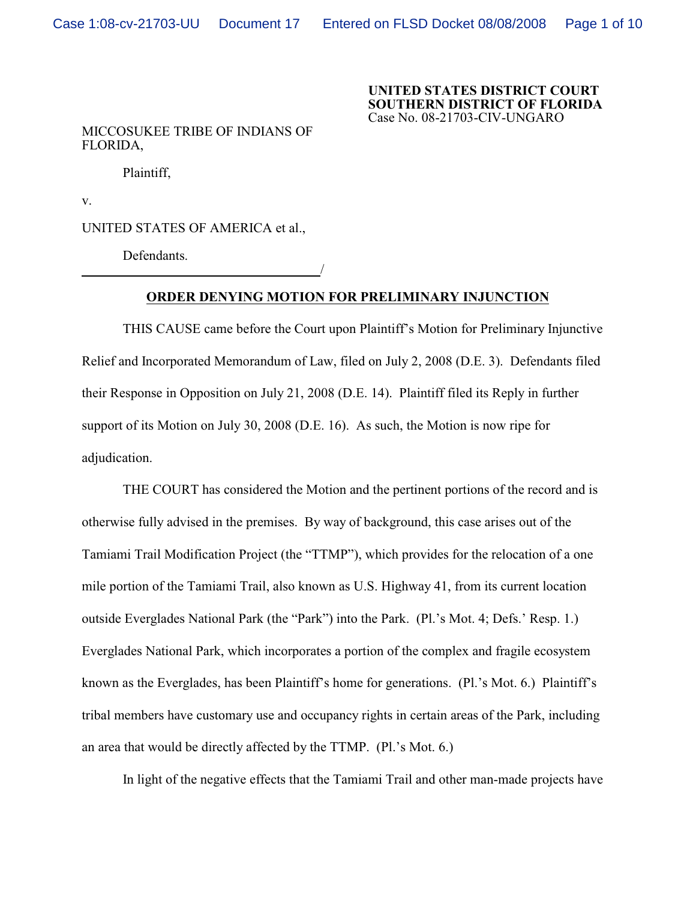## **UNITED STATES DISTRICT COURT SOUTHERN DISTRICT OF FLORIDA** Case No. 08-21703-CIV-UNGARO

## MICCOSUKEE TRIBE OF INDIANS OF FLORIDA,

Plaintiff,

v.

UNITED STATES OF AMERICA et al.,

/

Defendants.

## **ORDER DENYING MOTION FOR PRELIMINARY INJUNCTION**

THIS CAUSE came before the Court upon Plaintiff's Motion for Preliminary Injunctive Relief and Incorporated Memorandum of Law, filed on July 2, 2008 (D.E. 3). Defendants filed their Response in Opposition on July 21, 2008 (D.E. 14). Plaintiff filed its Reply in further support of its Motion on July 30, 2008 (D.E. 16). As such, the Motion is now ripe for adjudication.

THE COURT has considered the Motion and the pertinent portions of the record and is otherwise fully advised in the premises. By way of background, this case arises out of the Tamiami Trail Modification Project (the "TTMP"), which provides for the relocation of a one mile portion of the Tamiami Trail, also known as U.S. Highway 41, from its current location outside Everglades National Park (the "Park") into the Park. (Pl.'s Mot. 4; Defs.' Resp. 1.) Everglades National Park, which incorporates a portion of the complex and fragile ecosystem known as the Everglades, has been Plaintiff's home for generations. (Pl.'s Mot. 6.) Plaintiff's tribal members have customary use and occupancy rights in certain areas of the Park, including an area that would be directly affected by the TTMP. (Pl.'s Mot. 6.)

In light of the negative effects that the Tamiami Trail and other man-made projects have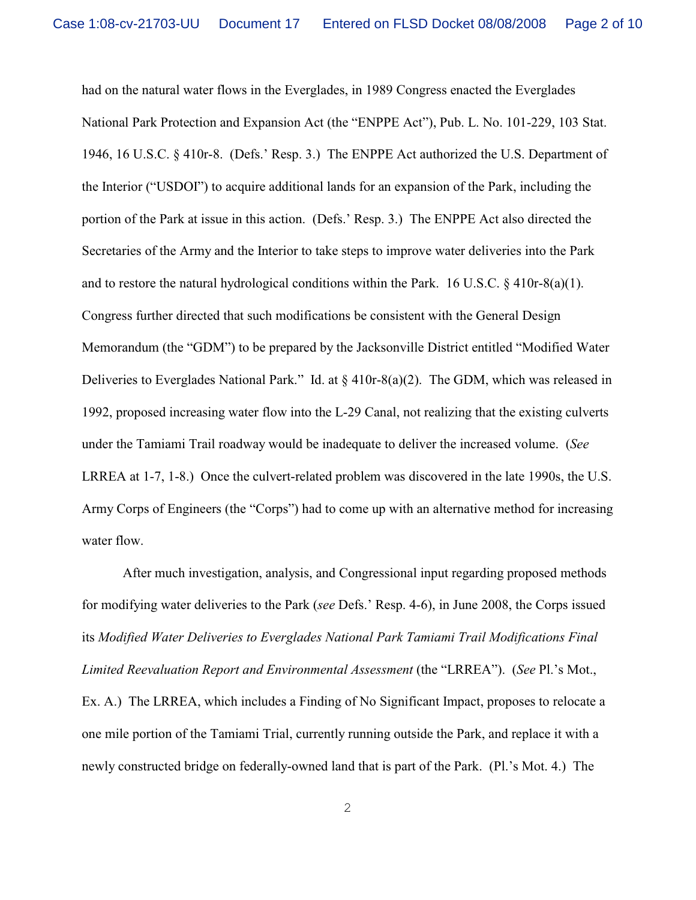had on the natural water flows in the Everglades, in 1989 Congress enacted the Everglades National Park Protection and Expansion Act (the "ENPPE Act"), Pub. L. No. 101-229, 103 Stat. 1946, 16 U.S.C. § 410r-8. (Defs.' Resp. 3.) The ENPPE Act authorized the U.S. Department of the Interior ("USDOI") to acquire additional lands for an expansion of the Park, including the portion of the Park at issue in this action. (Defs.' Resp. 3.) The ENPPE Act also directed the Secretaries of the Army and the Interior to take steps to improve water deliveries into the Park and to restore the natural hydrological conditions within the Park. 16 U.S.C. § 410r-8(a)(1). Congress further directed that such modifications be consistent with the General Design Memorandum (the "GDM") to be prepared by the Jacksonville District entitled "Modified Water Deliveries to Everglades National Park." Id. at  $\S$  410r-8(a)(2). The GDM, which was released in 1992, proposed increasing water flow into the L-29 Canal, not realizing that the existing culverts under the Tamiami Trail roadway would be inadequate to deliver the increased volume. (*See* LRREA at 1-7, 1-8.) Once the culvert-related problem was discovered in the late 1990s, the U.S. Army Corps of Engineers (the "Corps") had to come up with an alternative method for increasing water flow.

After much investigation, analysis, and Congressional input regarding proposed methods for modifying water deliveries to the Park (*see* Defs.' Resp. 4-6), in June 2008, the Corps issued its *Modified Water Deliveries to Everglades National Park Tamiami Trail Modifications Final Limited Reevaluation Report and Environmental Assessment* (the "LRREA"). (*See* Pl.'s Mot., Ex. A.) The LRREA, which includes a Finding of No Significant Impact, proposes to relocate a one mile portion of the Tamiami Trial, currently running outside the Park, and replace it with a newly constructed bridge on federally-owned land that is part of the Park. (Pl.'s Mot. 4.) The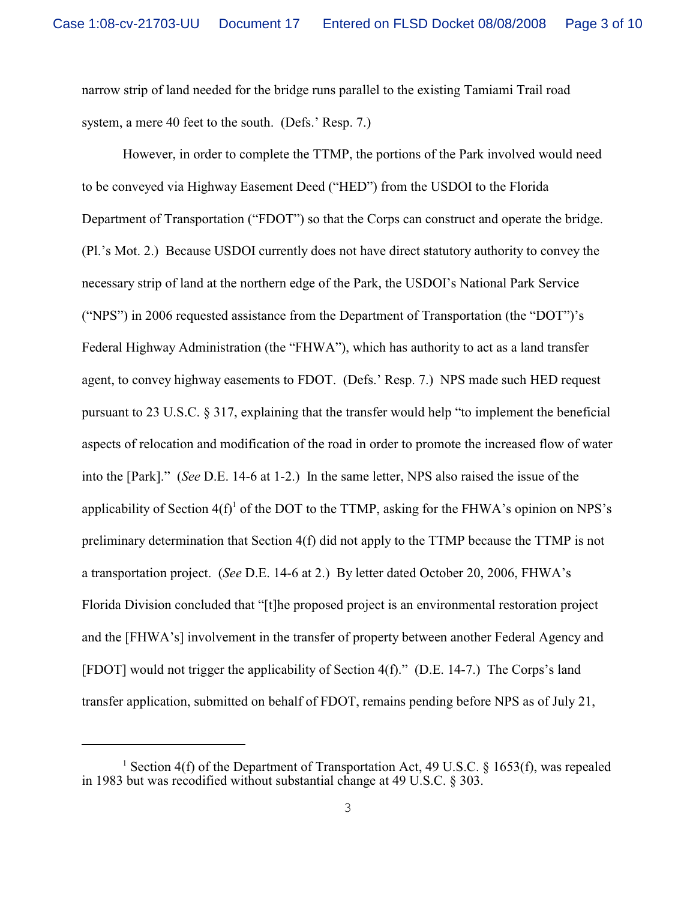narrow strip of land needed for the bridge runs parallel to the existing Tamiami Trail road system, a mere 40 feet to the south. (Defs.' Resp. 7.)

However, in order to complete the TTMP, the portions of the Park involved would need to be conveyed via Highway Easement Deed ("HED") from the USDOI to the Florida Department of Transportation ("FDOT") so that the Corps can construct and operate the bridge. (Pl.'s Mot. 2.) Because USDOI currently does not have direct statutory authority to convey the necessary strip of land at the northern edge of the Park, the USDOI's National Park Service ("NPS") in 2006 requested assistance from the Department of Transportation (the "DOT")'s Federal Highway Administration (the "FHWA"), which has authority to act as a land transfer agent, to convey highway easements to FDOT. (Defs.' Resp. 7.) NPS made such HED request pursuant to 23 U.S.C. § 317, explaining that the transfer would help "to implement the beneficial aspects of relocation and modification of the road in order to promote the increased flow of water into the [Park]." (*See* D.E. 14-6 at 1-2.) In the same letter, NPS also raised the issue of the applicability of Section  $4(f)$ <sup>1</sup> of the DOT to the TTMP, asking for the FHWA's opinion on NPS's preliminary determination that Section 4(f) did not apply to the TTMP because the TTMP is not a transportation project. (*See* D.E. 14-6 at 2.) By letter dated October 20, 2006, FHWA's Florida Division concluded that "[t]he proposed project is an environmental restoration project and the [FHWA's] involvement in the transfer of property between another Federal Agency and [FDOT] would not trigger the applicability of Section 4(f)." (D.E. 14-7.) The Corps's land transfer application, submitted on behalf of FDOT, remains pending before NPS as of July 21,

<sup>&</sup>lt;sup>1</sup> Section 4(f) of the Department of Transportation Act, 49 U.S.C. § 1653(f), was repealed in 1983 but was recodified without substantial change at 49 U.S.C. § 303.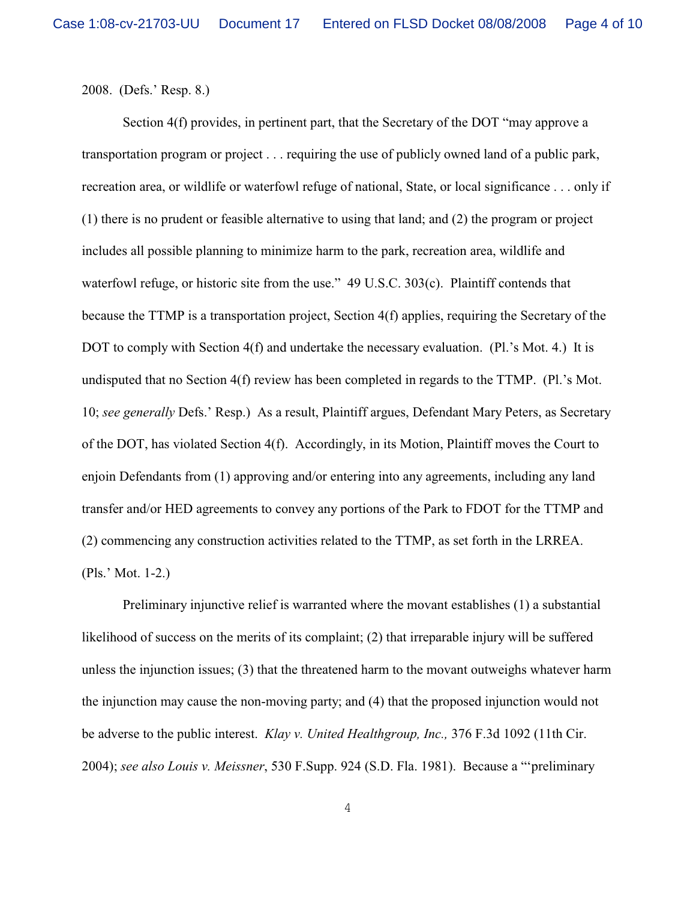2008. (Defs.' Resp. 8.)

Section 4(f) provides, in pertinent part, that the Secretary of the DOT "may approve a transportation program or project . . . requiring the use of publicly owned land of a public park, recreation area, or wildlife or waterfowl refuge of national, State, or local significance . . . only if (1) there is no prudent or feasible alternative to using that land; and (2) the program or project includes all possible planning to minimize harm to the park, recreation area, wildlife and waterfowl refuge, or historic site from the use." 49 U.S.C. 303(c). Plaintiff contends that because the TTMP is a transportation project, Section 4(f) applies, requiring the Secretary of the DOT to comply with Section 4(f) and undertake the necessary evaluation. (Pl.'s Mot. 4.) It is undisputed that no Section 4(f) review has been completed in regards to the TTMP. (Pl.'s Mot. 10; *see generally* Defs.' Resp.) As a result, Plaintiff argues, Defendant Mary Peters, as Secretary of the DOT, has violated Section 4(f). Accordingly, in its Motion, Plaintiff moves the Court to enjoin Defendants from (1) approving and/or entering into any agreements, including any land transfer and/or HED agreements to convey any portions of the Park to FDOT for the TTMP and (2) commencing any construction activities related to the TTMP, as set forth in the LRREA. (Pls.' Mot. 1-2.)

Preliminary injunctive relief is warranted where the movant establishes (1) a substantial likelihood of success on the merits of its complaint; (2) that irreparable injury will be suffered unless the injunction issues; (3) that the threatened harm to the movant outweighs whatever harm the injunction may cause the non-moving party; and (4) that the proposed injunction would not be adverse to the public interest. *Klay v. United Healthgroup, Inc.,* 376 F.3d 1092 (11th Cir. 2004); *see also Louis v. Meissner*, 530 F.Supp. 924 (S.D. Fla. 1981). Because a "'preliminary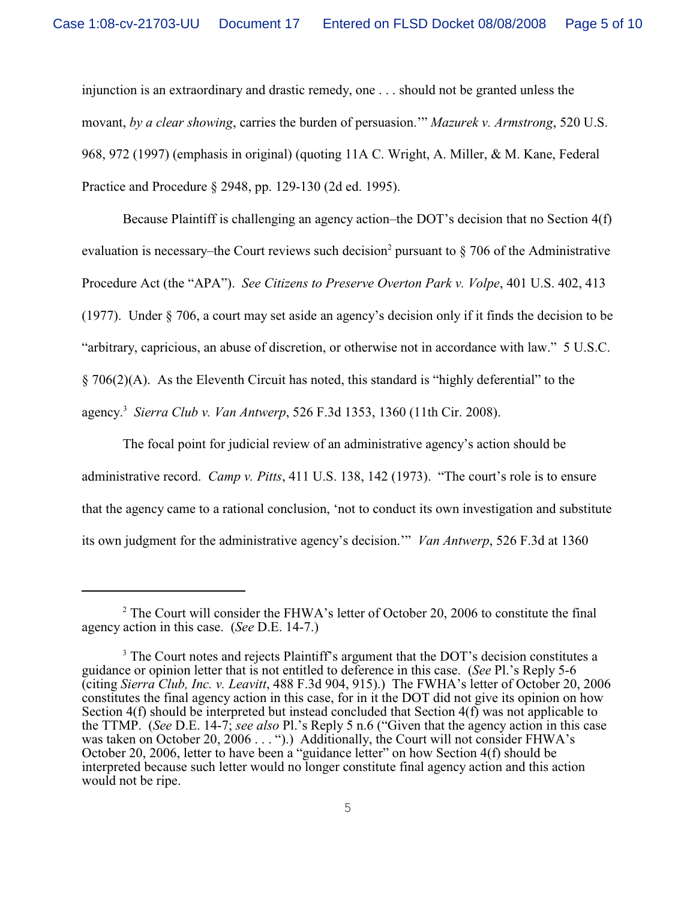injunction is an extraordinary and drastic remedy, one . . . should not be granted unless the movant, *by a clear showing*, carries the burden of persuasion.'" *Mazurek v. Armstrong*, 520 U.S. 968, 972 (1997) (emphasis in original) (quoting 11A C. Wright, A. Miller, & M. Kane, Federal Practice and Procedure § 2948, pp. 129-130 (2d ed. 1995).

Because Plaintiff is challenging an agency action–the DOT's decision that no Section 4(f) evaluation is necessary–the Court reviews such decision<sup>2</sup> pursuant to  $\S$  706 of the Administrative Procedure Act (the "APA"). *See Citizens to Preserve Overton Park v. Volpe*, 401 U.S. 402, 413 (1977). Under § 706, a court may set aside an agency's decision only if it finds the decision to be "arbitrary, capricious, an abuse of discretion, or otherwise not in accordance with law." 5 U.S.C. § 706(2)(A). As the Eleventh Circuit has noted, this standard is "highly deferential" to the agency. *Sierra Club v. Van Antwerp*, 526 F.3d 1353, 1360 (11th Cir. 2008). <sup>3</sup>

The focal point for judicial review of an administrative agency's action should be administrative record. *Camp v. Pitts*, 411 U.S. 138, 142 (1973). "The court's role is to ensure that the agency came to a rational conclusion, 'not to conduct its own investigation and substitute its own judgment for the administrative agency's decision.'" *Van Antwerp*, 526 F.3d at 1360

<sup>&</sup>lt;sup>2</sup> The Court will consider the FHWA's letter of October 20, 2006 to constitute the final agency action in this case. (*See* D.E. 14-7.)

<sup>&</sup>lt;sup>3</sup> The Court notes and rejects Plaintiff's argument that the DOT's decision constitutes a guidance or opinion letter that is not entitled to deference in this case. (*See* Pl.'s Reply 5-6 (citing *Sierra Club, Inc. v. Leavitt*, 488 F.3d 904, 915).) The FWHA's letter of October 20, 2006 constitutes the final agency action in this case, for in it the DOT did not give its opinion on how Section 4(f) should be interpreted but instead concluded that Section 4(f) was not applicable to the TTMP. (*See* D.E. 14-7; *see also* Pl.'s Reply 5 n.6 ("Given that the agency action in this case was taken on October 20, 2006 . . . ").) Additionally, the Court will not consider FHWA's October 20, 2006, letter to have been a "guidance letter" on how Section 4(f) should be interpreted because such letter would no longer constitute final agency action and this action would not be ripe.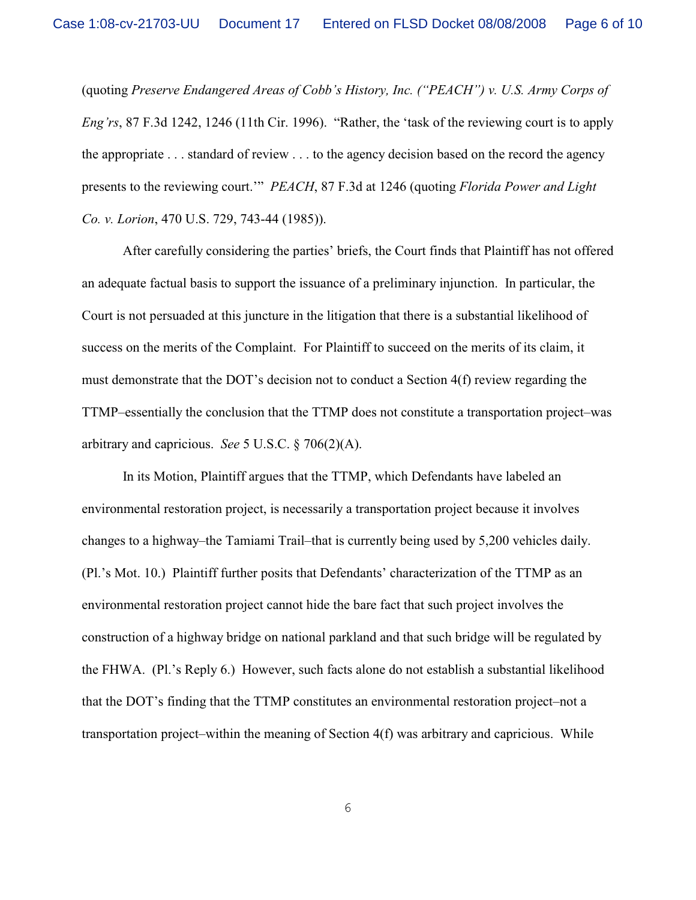(quoting *Preserve Endangered Areas of Cobb's History, Inc. ("PEACH") v. U.S. Army Corps of Eng'rs*, 87 F.3d 1242, 1246 (11th Cir. 1996). "Rather, the 'task of the reviewing court is to apply the appropriate . . . standard of review . . . to the agency decision based on the record the agency presents to the reviewing court.'" *PEACH*, 87 F.3d at 1246 (quoting *Florida Power and Light Co. v. Lorion*, 470 U.S. 729, 743-44 (1985)).

After carefully considering the parties' briefs, the Court finds that Plaintiff has not offered an adequate factual basis to support the issuance of a preliminary injunction. In particular, the Court is not persuaded at this juncture in the litigation that there is a substantial likelihood of success on the merits of the Complaint. For Plaintiff to succeed on the merits of its claim, it must demonstrate that the DOT's decision not to conduct a Section 4(f) review regarding the TTMP–essentially the conclusion that the TTMP does not constitute a transportation project–was arbitrary and capricious. *See* 5 U.S.C. § 706(2)(A).

In its Motion, Plaintiff argues that the TTMP, which Defendants have labeled an environmental restoration project, is necessarily a transportation project because it involves changes to a highway–the Tamiami Trail–that is currently being used by 5,200 vehicles daily. (Pl.'s Mot. 10.) Plaintiff further posits that Defendants' characterization of the TTMP as an environmental restoration project cannot hide the bare fact that such project involves the construction of a highway bridge on national parkland and that such bridge will be regulated by the FHWA. (Pl.'s Reply 6.) However, such facts alone do not establish a substantial likelihood that the DOT's finding that the TTMP constitutes an environmental restoration project–not a transportation project–within the meaning of Section 4(f) was arbitrary and capricious. While

6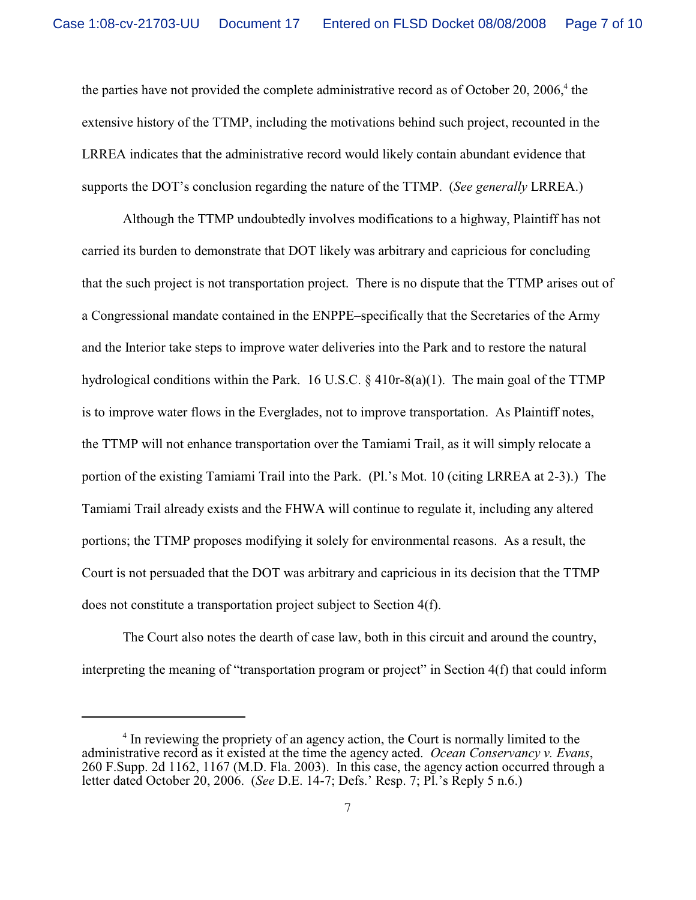the parties have not provided the complete administrative record as of October 20, 2006, $4$  the extensive history of the TTMP, including the motivations behind such project, recounted in the LRREA indicates that the administrative record would likely contain abundant evidence that supports the DOT's conclusion regarding the nature of the TTMP. (*See generally* LRREA.)

Although the TTMP undoubtedly involves modifications to a highway, Plaintiff has not carried its burden to demonstrate that DOT likely was arbitrary and capricious for concluding that the such project is not transportation project. There is no dispute that the TTMP arises out of a Congressional mandate contained in the ENPPE–specifically that the Secretaries of the Army and the Interior take steps to improve water deliveries into the Park and to restore the natural hydrological conditions within the Park. 16 U.S.C. § 410r-8(a)(1). The main goal of the TTMP is to improve water flows in the Everglades, not to improve transportation. As Plaintiff notes, the TTMP will not enhance transportation over the Tamiami Trail, as it will simply relocate a portion of the existing Tamiami Trail into the Park. (Pl.'s Mot. 10 (citing LRREA at 2-3).) The Tamiami Trail already exists and the FHWA will continue to regulate it, including any altered portions; the TTMP proposes modifying it solely for environmental reasons. As a result, the Court is not persuaded that the DOT was arbitrary and capricious in its decision that the TTMP does not constitute a transportation project subject to Section 4(f).

The Court also notes the dearth of case law, both in this circuit and around the country, interpreting the meaning of "transportation program or project" in Section 4(f) that could inform

 $\frac{4}{1}$  In reviewing the propriety of an agency action, the Court is normally limited to the administrative record as it existed at the time the agency acted. *Ocean Conservancy v. Evans*, 260 F.Supp. 2d 1162, 1167 (M.D. Fla. 2003). In this case, the agency action occurred through a letter dated October 20, 2006. (*See* D.E. 14-7; Defs.' Resp. 7; Pl.'s Reply 5 n.6.)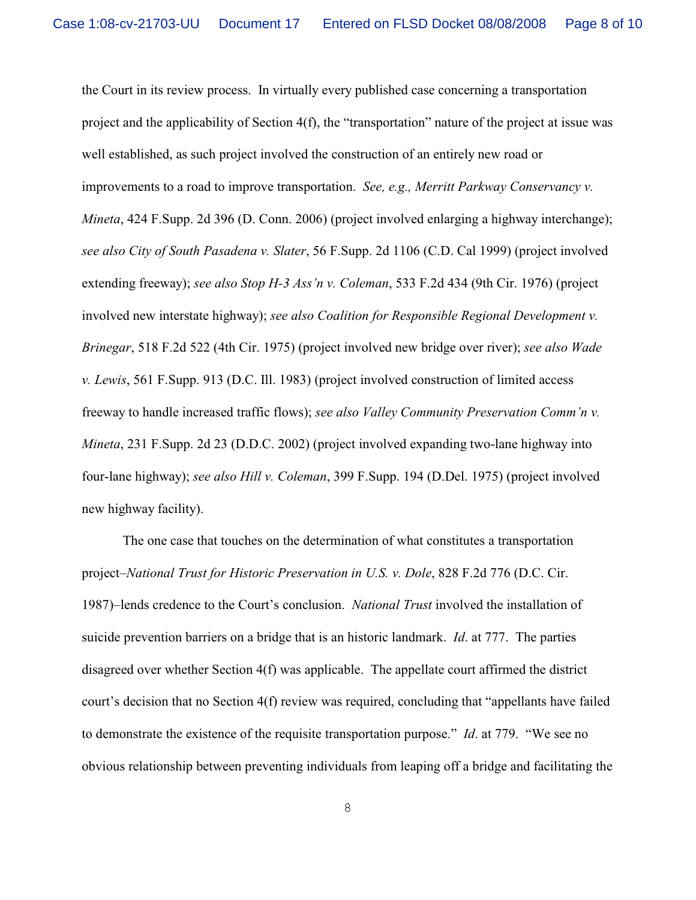the Court in its review process. In virtually every published case concerning a transportation project and the applicability of Section 4(f), the "transportation" nature of the project at issue was well established, as such project involved the construction of an entirely new road or improvements to a road to improve transportation. *See, e.g., Merritt Parkway Conservancy v. Mineta*, 424 F.Supp. 2d 396 (D. Conn. 2006) (project involved enlarging a highway interchange); *see also City of South Pasadena v. Slater*, 56 F.Supp. 2d 1106 (C.D. Cal 1999) (project involved extending freeway); *see also Stop H-3 Ass'n v. Coleman*, 533 F.2d 434 (9th Cir. 1976) (project involved new interstate highway); *see also Coalition for Responsible Regional Development v. Brinegar*, 518 F.2d 522 (4th Cir. 1975) (project involved new bridge over river); *see also Wade v. Lewis*, 561 F.Supp. 913 (D.C. Ill. 1983) (project involved construction of limited access freeway to handle increased traffic flows); *see also Valley Community Preservation Comm'n v. Mineta*, 231 F.Supp. 2d 23 (D.D.C. 2002) (project involved expanding two-lane highway into four-lane highway); *see also Hill v. Coleman*, 399 F.Supp. 194 (D.Del. 1975) (project involved new highway facility).

The one case that touches on the determination of what constitutes a transportation project–*National Trust for Historic Preservation in U.S. v. Dole*, 828 F.2d 776 (D.C. Cir. 1987)–lends credence to the Court's conclusion. *National Trust* involved the installation of suicide prevention barriers on a bridge that is an historic landmark. *Id*. at 777. The parties disagreed over whether Section 4(f) was applicable. The appellate court affirmed the district court's decision that no Section 4(f) review was required, concluding that "appellants have failed to demonstrate the existence of the requisite transportation purpose." *Id*. at 779. "We see no obvious relationship between preventing individuals from leaping off a bridge and facilitating the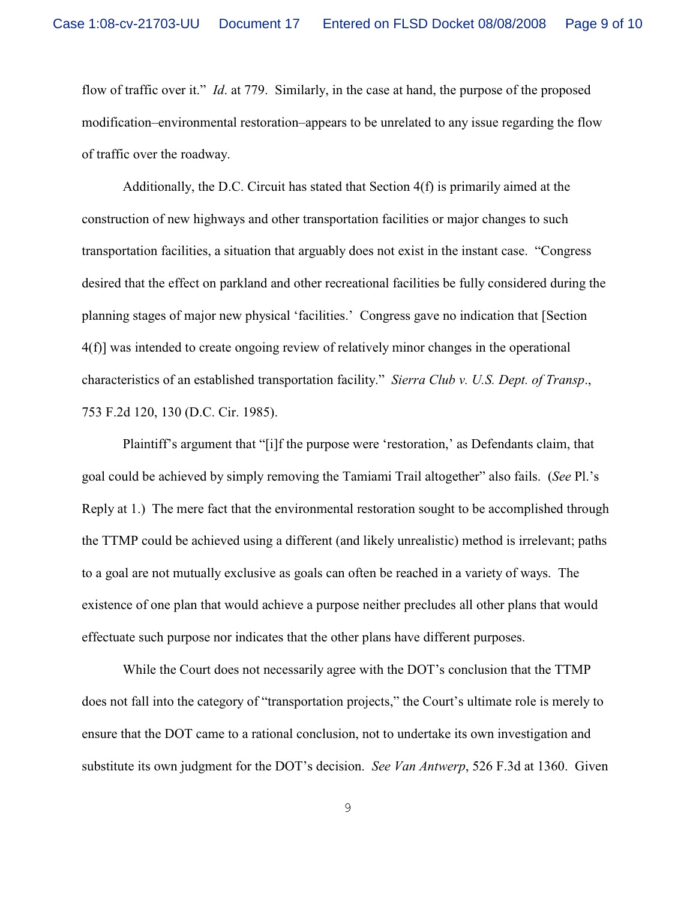flow of traffic over it." *Id*. at 779. Similarly, in the case at hand, the purpose of the proposed modification–environmental restoration–appears to be unrelated to any issue regarding the flow of traffic over the roadway.

Additionally, the D.C. Circuit has stated that Section 4(f) is primarily aimed at the construction of new highways and other transportation facilities or major changes to such transportation facilities, a situation that arguably does not exist in the instant case. "Congress desired that the effect on parkland and other recreational facilities be fully considered during the planning stages of major new physical 'facilities.' Congress gave no indication that [Section 4(f)] was intended to create ongoing review of relatively minor changes in the operational characteristics of an established transportation facility." *Sierra Club v. U.S. Dept. of Transp*., 753 F.2d 120, 130 (D.C. Cir. 1985).

Plaintiff's argument that "[i]f the purpose were 'restoration,' as Defendants claim, that goal could be achieved by simply removing the Tamiami Trail altogether" also fails. (*See* Pl.'s Reply at 1.) The mere fact that the environmental restoration sought to be accomplished through the TTMP could be achieved using a different (and likely unrealistic) method is irrelevant; paths to a goal are not mutually exclusive as goals can often be reached in a variety of ways. The existence of one plan that would achieve a purpose neither precludes all other plans that would effectuate such purpose nor indicates that the other plans have different purposes.

While the Court does not necessarily agree with the DOT's conclusion that the TTMP does not fall into the category of "transportation projects," the Court's ultimate role is merely to ensure that the DOT came to a rational conclusion, not to undertake its own investigation and substitute its own judgment for the DOT's decision. *See Van Antwerp*, 526 F.3d at 1360. Given